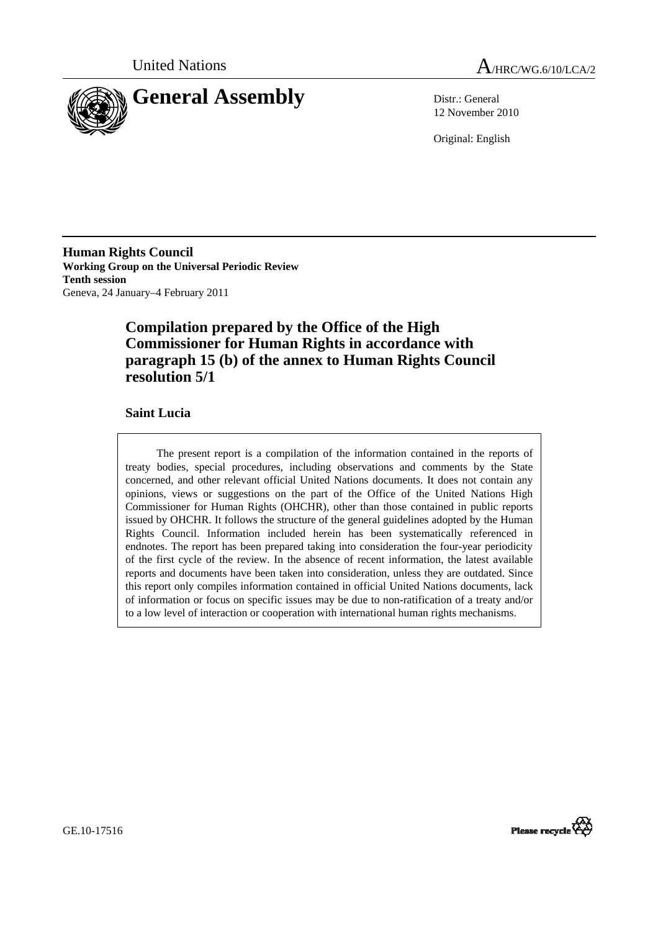



12 November 2010

Original: English

**Human Rights Council Working Group on the Universal Periodic Review Tenth session**  Geneva, 24 January–4 February 2011

# **Compilation prepared by the Office of the High Commissioner for Human Rights in accordance with paragraph 15 (b) of the annex to Human Rights Council resolution 5/1**

## **Saint Lucia**

The present report is a compilation of the information contained in the reports of treaty bodies, special procedures, including observations and comments by the State concerned, and other relevant official United Nations documents. It does not contain any opinions, views or suggestions on the part of the Office of the United Nations High Commissioner for Human Rights (OHCHR), other than those contained in public reports issued by OHCHR. It follows the structure of the general guidelines adopted by the Human Rights Council. Information included herein has been systematically referenced in endnotes. The report has been prepared taking into consideration the four-year periodicity of the first cycle of the review. In the absence of recent information, the latest available reports and documents have been taken into consideration, unless they are outdated. Since this report only compiles information contained in official United Nations documents, lack of information or focus on specific issues may be due to non-ratification of a treaty and/or to a low level of interaction or cooperation with international human rights mechanisms.



GE.10-17516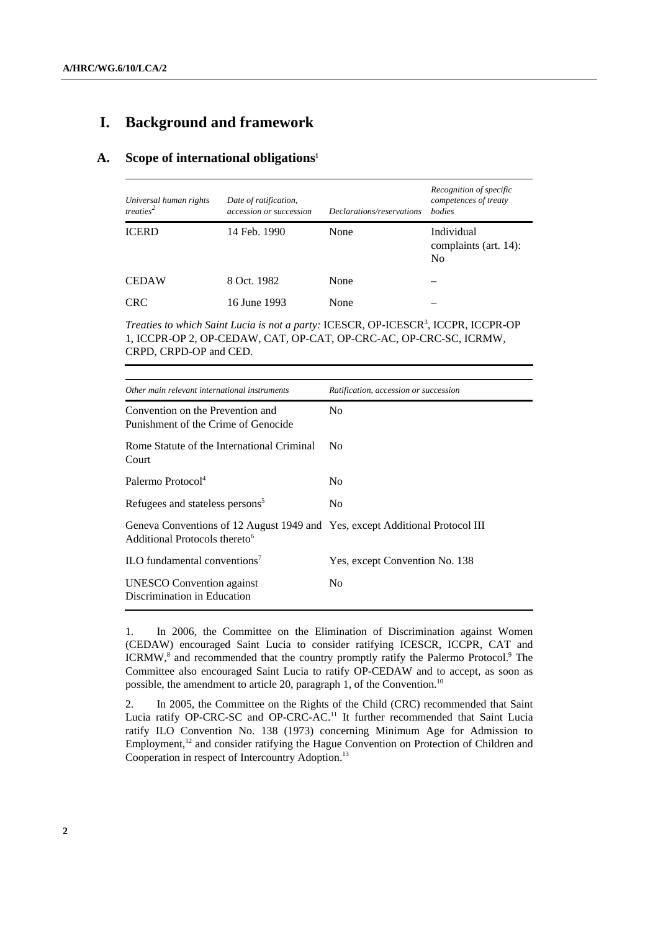# **I. Background and framework**

## **A. Scope of international obligations1**

| Universal human rights<br>treaties <sup>2</sup> | Date of ratification,<br>accession or succession | Declarations/reservations | Recognition of specific<br>competences of treaty<br><i>bodies</i> |
|-------------------------------------------------|--------------------------------------------------|---------------------------|-------------------------------------------------------------------|
| <b>ICERD</b>                                    | 14 Feb. 1990                                     | None                      | Individual<br>complaints (art. 14):<br>N <sub>0</sub>             |
| <b>CEDAW</b>                                    | 8 Oct. 1982                                      | None                      |                                                                   |
| <b>CRC</b>                                      | 16 June 1993                                     | None                      |                                                                   |

Treaties to which Saint Lucia is not a party: ICESCR, OP-ICESCR<sup>3</sup>, ICCPR, ICCPR-OP 1, ICCPR-OP 2, OP-CEDAW, CAT, OP-CAT, OP-CRC-AC, OP-CRC-SC, ICRMW, CRPD, CRPD-OP and CED.

| Other main relevant international instruments                                                                             | Ratification, accession or succession |  |  |
|---------------------------------------------------------------------------------------------------------------------------|---------------------------------------|--|--|
| Convention on the Prevention and<br>Punishment of the Crime of Genocide                                                   | N <sub>0</sub>                        |  |  |
| Rome Statute of the International Criminal<br>Court                                                                       | N <sub>0</sub>                        |  |  |
| Palermo Protocol <sup>4</sup>                                                                                             | N <sub>0</sub>                        |  |  |
| Refugees and stateless persons <sup>5</sup>                                                                               | N <sub>0</sub>                        |  |  |
| Geneva Conventions of 12 August 1949 and Yes, except Additional Protocol III<br>Additional Protocols thereto <sup>6</sup> |                                       |  |  |
| $\rm ILO$ fundamental conventions <sup>7</sup>                                                                            | Yes, except Convention No. 138        |  |  |
| <b>UNESCO</b> Convention against<br>Discrimination in Education                                                           | N <sub>0</sub>                        |  |  |

1. In 2006, the Committee on the Elimination of Discrimination against Women (CEDAW) encouraged Saint Lucia to consider ratifying ICESCR, ICCPR, CAT and ICRMW,<sup>8</sup> and recommended that the country promptly ratify the Palermo Protocol.<sup>9</sup> The Committee also encouraged Saint Lucia to ratify OP-CEDAW and to accept, as soon as possible, the amendment to article 20, paragraph 1, of the Convention.<sup>10</sup>

2. In 2005, the Committee on the Rights of the Child (CRC) recommended that Saint Lucia ratify OP-CRC-SC and OP-CRC-AC.<sup>11</sup> It further recommended that Saint Lucia ratify ILO Convention No. 138 (1973) concerning Minimum Age for Admission to Employment,<sup>12</sup> and consider ratifying the Hague Convention on Protection of Children and Cooperation in respect of Intercountry Adoption.<sup>13</sup>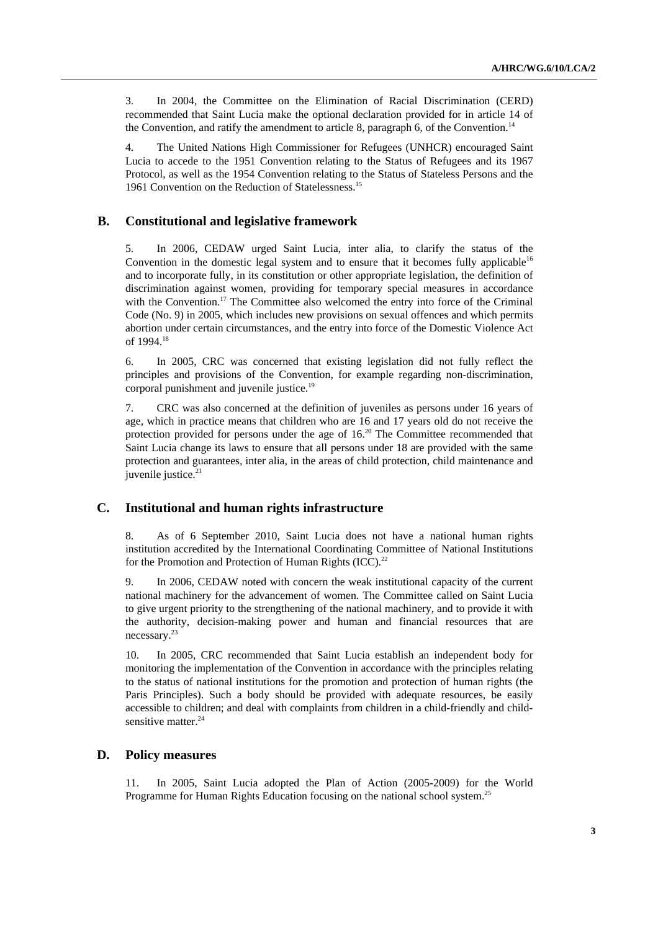3. In 2004, the Committee on the Elimination of Racial Discrimination (CERD) recommended that Saint Lucia make the optional declaration provided for in article 14 of the Convention, and ratify the amendment to article 8, paragraph 6, of the Convention.<sup>14</sup>

4. The United Nations High Commissioner for Refugees (UNHCR) encouraged Saint Lucia to accede to the 1951 Convention relating to the Status of Refugees and its 1967 Protocol, as well as the 1954 Convention relating to the Status of Stateless Persons and the 1961 Convention on the Reduction of Statelessness.15

## **B. Constitutional and legislative framework**

5. In 2006, CEDAW urged Saint Lucia, inter alia, to clarify the status of the Convention in the domestic legal system and to ensure that it becomes fully applicable<sup>16</sup> and to incorporate fully, in its constitution or other appropriate legislation, the definition of discrimination against women, providing for temporary special measures in accordance with the Convention.<sup>17</sup> The Committee also welcomed the entry into force of the Criminal Code (No. 9) in 2005, which includes new provisions on sexual offences and which permits abortion under certain circumstances, and the entry into force of the Domestic Violence Act of 1994.<sup>18</sup>

6. In 2005, CRC was concerned that existing legislation did not fully reflect the principles and provisions of the Convention, for example regarding non-discrimination, corporal punishment and juvenile justice.<sup>19</sup>

7. CRC was also concerned at the definition of juveniles as persons under 16 years of age, which in practice means that children who are 16 and 17 years old do not receive the protection provided for persons under the age of 16.<sup>20</sup> The Committee recommended that Saint Lucia change its laws to ensure that all persons under 18 are provided with the same protection and guarantees, inter alia, in the areas of child protection, child maintenance and juvenile justice.<sup>21</sup>

## **C. Institutional and human rights infrastructure**

8. As of 6 September 2010, Saint Lucia does not have a national human rights institution accredited by the International Coordinating Committee of National Institutions for the Promotion and Protection of Human Rights (ICC).<sup>22</sup>

9. In 2006, CEDAW noted with concern the weak institutional capacity of the current national machinery for the advancement of women. The Committee called on Saint Lucia to give urgent priority to the strengthening of the national machinery, and to provide it with the authority, decision-making power and human and financial resources that are necessary.23

10. In 2005, CRC recommended that Saint Lucia establish an independent body for monitoring the implementation of the Convention in accordance with the principles relating to the status of national institutions for the promotion and protection of human rights (the Paris Principles). Such a body should be provided with adequate resources, be easily accessible to children; and deal with complaints from children in a child-friendly and childsensitive matter.<sup>24</sup>

## **D. Policy measures**

11. In 2005, Saint Lucia adopted the Plan of Action (2005-2009) for the World Programme for Human Rights Education focusing on the national school system.<sup>25</sup>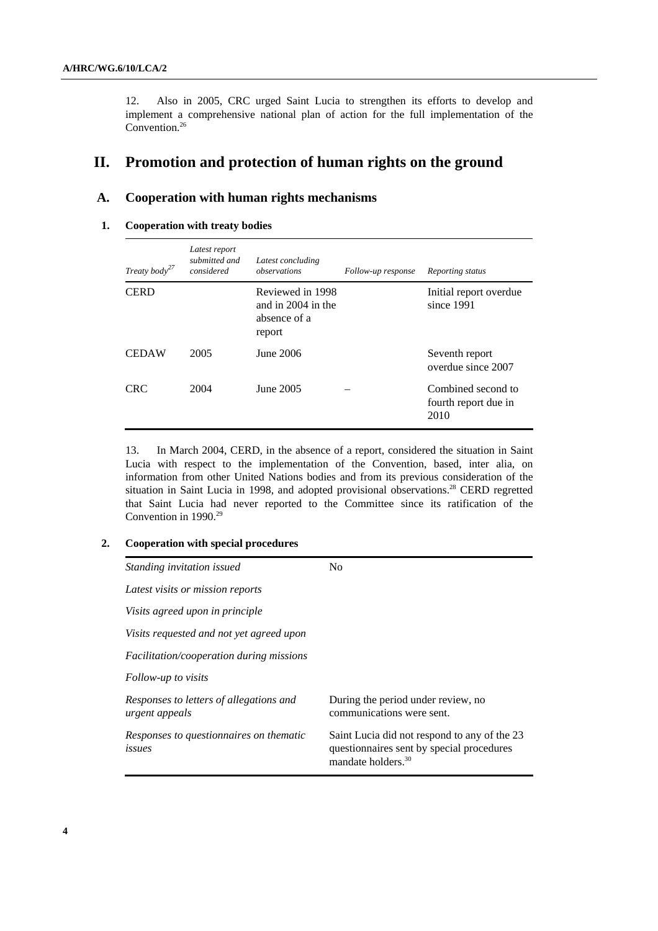12. Also in 2005, CRC urged Saint Lucia to strengthen its efforts to develop and implement a comprehensive national plan of action for the full implementation of the Convention.<sup>26</sup>

# **II. Promotion and protection of human rights on the ground**

## **A. Cooperation with human rights mechanisms**

### **1. Cooperation with treaty bodies**

| Treaty body <sup>27</sup> | Latest report<br>submitted and<br>considered | Latest concluding<br>observations                                | Follow-up response | Reporting status                                   |
|---------------------------|----------------------------------------------|------------------------------------------------------------------|--------------------|----------------------------------------------------|
| <b>CERD</b>               |                                              | Reviewed in 1998<br>and in 2004 in the<br>absence of a<br>report |                    | Initial report overdue<br>since 1991               |
| <b>CEDAW</b>              | 2005                                         | June 2006                                                        |                    | Seventh report<br>overdue since 2007               |
| <b>CRC</b>                | 2004                                         | June 2005                                                        |                    | Combined second to<br>fourth report due in<br>2010 |

13. In March 2004, CERD, in the absence of a report, considered the situation in Saint Lucia with respect to the implementation of the Convention, based, inter alia, on information from other United Nations bodies and from its previous consideration of the situation in Saint Lucia in 1998, and adopted provisional observations.<sup>28</sup> CERD regretted that Saint Lucia had never reported to the Committee since its ratification of the Convention in 1990.<sup>29</sup>

### **2. Cooperation with special procedures**

| Standing invitation issued                                | No                                                                                                                          |  |  |
|-----------------------------------------------------------|-----------------------------------------------------------------------------------------------------------------------------|--|--|
| Latest visits or mission reports                          |                                                                                                                             |  |  |
| Visits agreed upon in principle                           |                                                                                                                             |  |  |
| Visits requested and not yet agreed upon                  |                                                                                                                             |  |  |
| <i>Facilitation/cooperation during missions</i>           |                                                                                                                             |  |  |
| Follow-up to visits                                       |                                                                                                                             |  |  |
| Responses to letters of allegations and<br>urgent appeals | During the period under review, no<br>communications were sent.                                                             |  |  |
| Responses to questionnaires on thematic<br>issues         | Saint Lucia did not respond to any of the 23<br>questionnaires sent by special procedures<br>mandate holders. <sup>30</sup> |  |  |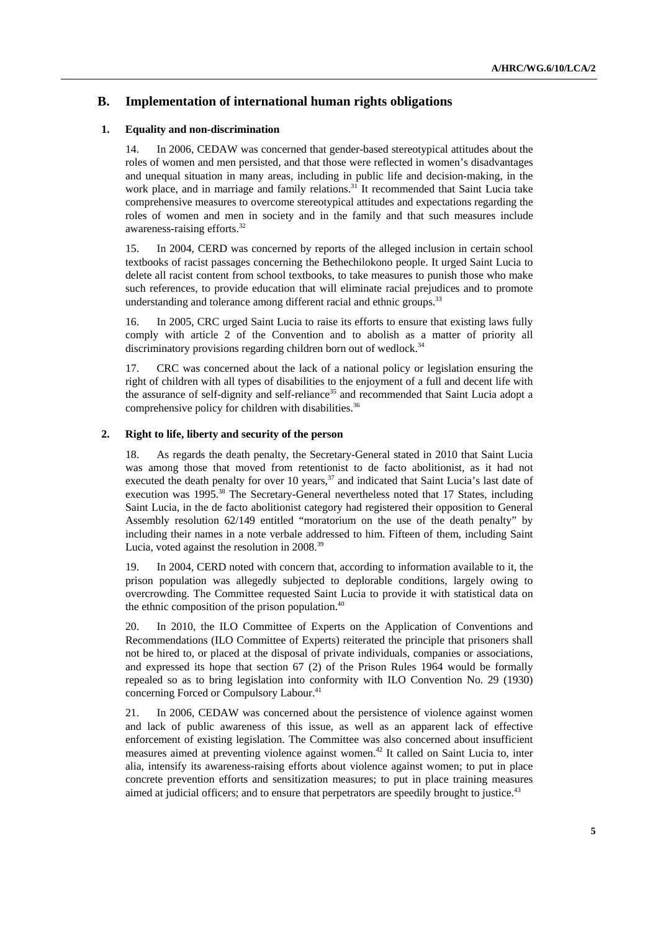## **B. Implementation of international human rights obligations**

#### **1. Equality and non-discrimination**

14. In 2006, CEDAW was concerned that gender-based stereotypical attitudes about the roles of women and men persisted, and that those were reflected in women's disadvantages and unequal situation in many areas, including in public life and decision-making, in the work place, and in marriage and family relations.<sup>31</sup> It recommended that Saint Lucia take comprehensive measures to overcome stereotypical attitudes and expectations regarding the roles of women and men in society and in the family and that such measures include awareness-raising efforts.32

15. In 2004, CERD was concerned by reports of the alleged inclusion in certain school textbooks of racist passages concerning the Bethechilokono people. It urged Saint Lucia to delete all racist content from school textbooks, to take measures to punish those who make such references, to provide education that will eliminate racial prejudices and to promote understanding and tolerance among different racial and ethnic groups.<sup>33</sup>

16. In 2005, CRC urged Saint Lucia to raise its efforts to ensure that existing laws fully comply with article 2 of the Convention and to abolish as a matter of priority all discriminatory provisions regarding children born out of wedlock.<sup>34</sup>

17. CRC was concerned about the lack of a national policy or legislation ensuring the right of children with all types of disabilities to the enjoyment of a full and decent life with the assurance of self-dignity and self-reliance<sup>35</sup> and recommended that Saint Lucia adopt a comprehensive policy for children with disabilities.<sup>36</sup>

#### **2. Right to life, liberty and security of the person**

18. As regards the death penalty, the Secretary-General stated in 2010 that Saint Lucia was among those that moved from retentionist to de facto abolitionist, as it had not executed the death penalty for over 10 years, $37$  and indicated that Saint Lucia's last date of execution was 1995.<sup>38</sup> The Secretary-General nevertheless noted that 17 States, including Saint Lucia, in the de facto abolitionist category had registered their opposition to General Assembly resolution 62/149 entitled "moratorium on the use of the death penalty" by including their names in a note verbale addressed to him. Fifteen of them, including Saint Lucia, voted against the resolution in 2008.<sup>39</sup>

19. In 2004, CERD noted with concern that, according to information available to it, the prison population was allegedly subjected to deplorable conditions, largely owing to overcrowding. The Committee requested Saint Lucia to provide it with statistical data on the ethnic composition of the prison population.<sup>40</sup>

20. In 2010, the ILO Committee of Experts on the Application of Conventions and Recommendations (ILO Committee of Experts) reiterated the principle that prisoners shall not be hired to, or placed at the disposal of private individuals, companies or associations, and expressed its hope that section 67 (2) of the Prison Rules 1964 would be formally repealed so as to bring legislation into conformity with ILO Convention No. 29 (1930) concerning Forced or Compulsory Labour.<sup>41</sup>

21. In 2006, CEDAW was concerned about the persistence of violence against women and lack of public awareness of this issue, as well as an apparent lack of effective enforcement of existing legislation. The Committee was also concerned about insufficient measures aimed at preventing violence against women.<sup>42</sup> It called on Saint Lucia to, inter alia*,* intensify its awareness-raising efforts about violence against women; to put in place concrete prevention efforts and sensitization measures; to put in place training measures aimed at judicial officers; and to ensure that perpetrators are speedily brought to justice.<sup>43</sup>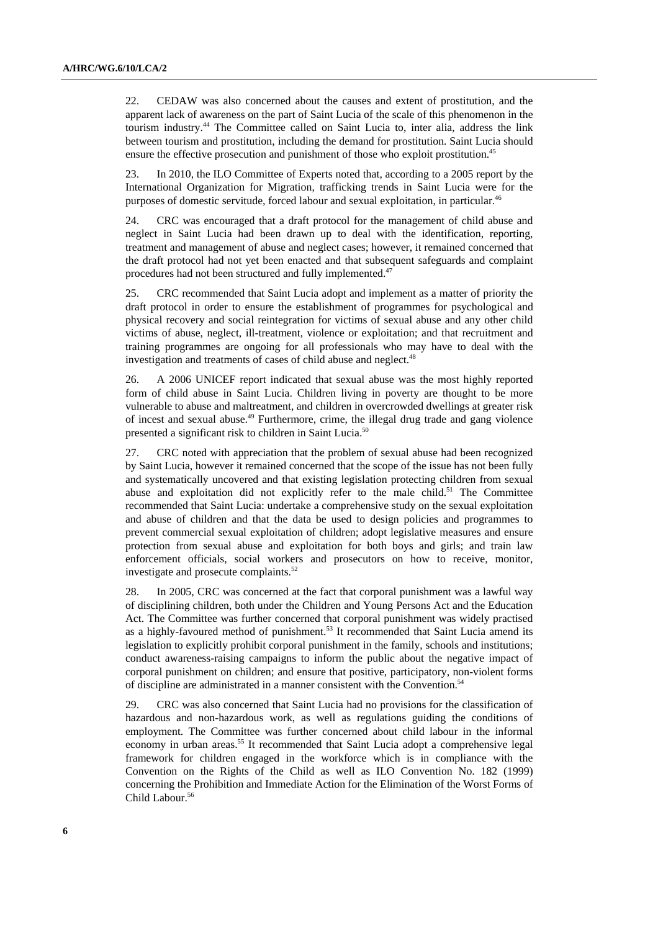22. CEDAW was also concerned about the causes and extent of prostitution, and the apparent lack of awareness on the part of Saint Lucia of the scale of this phenomenon in the tourism industry.44 The Committee called on Saint Lucia to, inter alia, address the link between tourism and prostitution, including the demand for prostitution. Saint Lucia should ensure the effective prosecution and punishment of those who exploit prostitution.<sup>45</sup>

23. In 2010, the ILO Committee of Experts noted that, according to a 2005 report by the International Organization for Migration, trafficking trends in Saint Lucia were for the purposes of domestic servitude, forced labour and sexual exploitation, in particular.<sup>46</sup>

24. CRC was encouraged that a draft protocol for the management of child abuse and neglect in Saint Lucia had been drawn up to deal with the identification, reporting, treatment and management of abuse and neglect cases; however, it remained concerned that the draft protocol had not yet been enacted and that subsequent safeguards and complaint procedures had not been structured and fully implemented.<sup>47</sup>

25. CRC recommended that Saint Lucia adopt and implement as a matter of priority the draft protocol in order to ensure the establishment of programmes for psychological and physical recovery and social reintegration for victims of sexual abuse and any other child victims of abuse, neglect, ill-treatment, violence or exploitation; and that recruitment and training programmes are ongoing for all professionals who may have to deal with the investigation and treatments of cases of child abuse and neglect.<sup>48</sup>

26. A 2006 UNICEF report indicated that sexual abuse was the most highly reported form of child abuse in Saint Lucia. Children living in poverty are thought to be more vulnerable to abuse and maltreatment, and children in overcrowded dwellings at greater risk of incest and sexual abuse.<sup>49</sup> Furthermore, crime, the illegal drug trade and gang violence presented a significant risk to children in Saint Lucia.50

27. CRC noted with appreciation that the problem of sexual abuse had been recognized by Saint Lucia, however it remained concerned that the scope of the issue has not been fully and systematically uncovered and that existing legislation protecting children from sexual abuse and exploitation did not explicitly refer to the male child.<sup>51</sup> The Committee recommended that Saint Lucia: undertake a comprehensive study on the sexual exploitation and abuse of children and that the data be used to design policies and programmes to prevent commercial sexual exploitation of children; adopt legislative measures and ensure protection from sexual abuse and exploitation for both boys and girls; and train law enforcement officials, social workers and prosecutors on how to receive, monitor, investigate and prosecute complaints.<sup>52</sup>

28. In 2005, CRC was concerned at the fact that corporal punishment was a lawful way of disciplining children, both under the Children and Young Persons Act and the Education Act. The Committee was further concerned that corporal punishment was widely practised as a highly-favoured method of punishment.<sup>53</sup> It recommended that Saint Lucia amend its legislation to explicitly prohibit corporal punishment in the family, schools and institutions; conduct awareness-raising campaigns to inform the public about the negative impact of corporal punishment on children; and ensure that positive, participatory, non-violent forms of discipline are administrated in a manner consistent with the Convention.54

29. CRC was also concerned that Saint Lucia had no provisions for the classification of hazardous and non-hazardous work, as well as regulations guiding the conditions of employment. The Committee was further concerned about child labour in the informal economy in urban areas.<sup>55</sup> It recommended that Saint Lucia adopt a comprehensive legal framework for children engaged in the workforce which is in compliance with the Convention on the Rights of the Child as well as ILO Convention No. 182 (1999) concerning the Prohibition and Immediate Action for the Elimination of the Worst Forms of Child Labour.<sup>56</sup>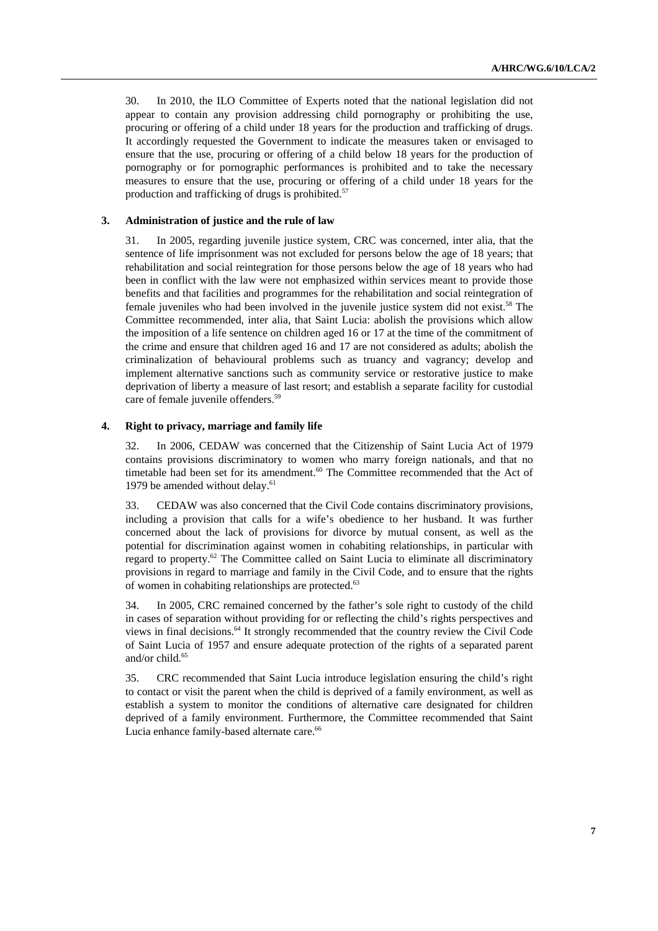30. In 2010, the ILO Committee of Experts noted that the national legislation did not appear to contain any provision addressing child pornography or prohibiting the use, procuring or offering of a child under 18 years for the production and trafficking of drugs. It accordingly requested the Government to indicate the measures taken or envisaged to ensure that the use, procuring or offering of a child below 18 years for the production of pornography or for pornographic performances is prohibited and to take the necessary measures to ensure that the use, procuring or offering of a child under 18 years for the production and trafficking of drugs is prohibited. $57$ 

### **3. Administration of justice and the rule of law**

31. In 2005, regarding juvenile justice system, CRC was concerned, inter alia, that the sentence of life imprisonment was not excluded for persons below the age of 18 years; that rehabilitation and social reintegration for those persons below the age of 18 years who had been in conflict with the law were not emphasized within services meant to provide those benefits and that facilities and programmes for the rehabilitation and social reintegration of female juveniles who had been involved in the juvenile justice system did not exist.<sup>58</sup> The Committee recommended, inter alia, that Saint Lucia: abolish the provisions which allow the imposition of a life sentence on children aged 16 or 17 at the time of the commitment of the crime and ensure that children aged 16 and 17 are not considered as adults; abolish the criminalization of behavioural problems such as truancy and vagrancy; develop and implement alternative sanctions such as community service or restorative justice to make deprivation of liberty a measure of last resort; and establish a separate facility for custodial care of female juvenile offenders.<sup>59</sup>

#### **4. Right to privacy, marriage and family life**

32. In 2006, CEDAW was concerned that the Citizenship of Saint Lucia Act of 1979 contains provisions discriminatory to women who marry foreign nationals, and that no timetable had been set for its amendment.<sup>60</sup> The Committee recommended that the Act of 1979 be amended without delay.<sup>61</sup>

33. CEDAW was also concerned that the Civil Code contains discriminatory provisions, including a provision that calls for a wife's obedience to her husband. It was further concerned about the lack of provisions for divorce by mutual consent, as well as the potential for discrimination against women in cohabiting relationships, in particular with regard to property.<sup>62</sup> The Committee called on Saint Lucia to eliminate all discriminatory provisions in regard to marriage and family in the Civil Code, and to ensure that the rights of women in cohabiting relationships are protected.<sup>63</sup>

34. In 2005, CRC remained concerned by the father's sole right to custody of the child in cases of separation without providing for or reflecting the child's rights perspectives and views in final decisions.64 It strongly recommended that the country review the Civil Code of Saint Lucia of 1957 and ensure adequate protection of the rights of a separated parent and/or child.<sup>65</sup>

35. CRC recommended that Saint Lucia introduce legislation ensuring the child's right to contact or visit the parent when the child is deprived of a family environment, as well as establish a system to monitor the conditions of alternative care designated for children deprived of a family environment. Furthermore, the Committee recommended that Saint Lucia enhance family-based alternate care.<sup>66</sup>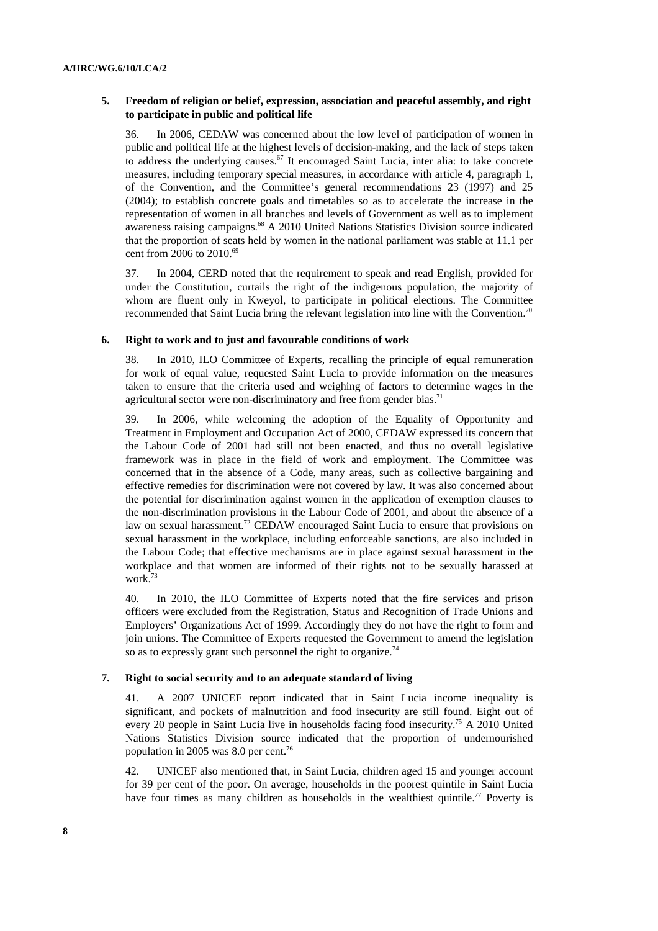### **5. Freedom of religion or belief, expression, association and peaceful assembly, and right to participate in public and political life**

36. In 2006, CEDAW was concerned about the low level of participation of women in public and political life at the highest levels of decision-making, and the lack of steps taken to address the underlying causes.<sup>67</sup> It encouraged Saint Lucia, inter alia: to take concrete measures, including temporary special measures, in accordance with article 4, paragraph 1, of the Convention, and the Committee's general recommendations 23 (1997) and 25 (2004); to establish concrete goals and timetables so as to accelerate the increase in the representation of women in all branches and levels of Government as well as to implement awareness raising campaigns.68 A 2010 United Nations Statistics Division source indicated that the proportion of seats held by women in the national parliament was stable at 11.1 per cent from 2006 to 2010.<sup>69</sup>

37. In 2004, CERD noted that the requirement to speak and read English, provided for under the Constitution, curtails the right of the indigenous population, the majority of whom are fluent only in Kweyol, to participate in political elections. The Committee recommended that Saint Lucia bring the relevant legislation into line with the Convention.<sup>70</sup>

#### **6. Right to work and to just and favourable conditions of work**

38. In 2010, ILO Committee of Experts, recalling the principle of equal remuneration for work of equal value, requested Saint Lucia to provide information on the measures taken to ensure that the criteria used and weighing of factors to determine wages in the agricultural sector were non-discriminatory and free from gender bias.<sup>71</sup>

39. In 2006, while welcoming the adoption of the Equality of Opportunity and Treatment in Employment and Occupation Act of 2000, CEDAW expressed its concern that the Labour Code of 2001 had still not been enacted, and thus no overall legislative framework was in place in the field of work and employment. The Committee was concerned that in the absence of a Code, many areas, such as collective bargaining and effective remedies for discrimination were not covered by law. It was also concerned about the potential for discrimination against women in the application of exemption clauses to the non-discrimination provisions in the Labour Code of 2001, and about the absence of a law on sexual harassment.<sup>72</sup> CEDAW encouraged Saint Lucia to ensure that provisions on sexual harassment in the workplace, including enforceable sanctions, are also included in the Labour Code; that effective mechanisms are in place against sexual harassment in the workplace and that women are informed of their rights not to be sexually harassed at work.73

40. In 2010, the ILO Committee of Experts noted that the fire services and prison officers were excluded from the Registration, Status and Recognition of Trade Unions and Employers' Organizations Act of 1999. Accordingly they do not have the right to form and join unions. The Committee of Experts requested the Government to amend the legislation so as to expressly grant such personnel the right to organize.<sup>74</sup>

#### **7. Right to social security and to an adequate standard of living**

41. A 2007 UNICEF report indicated that in Saint Lucia income inequality is significant, and pockets of malnutrition and food insecurity are still found. Eight out of every 20 people in Saint Lucia live in households facing food insecurity.75 A 2010 United Nations Statistics Division source indicated that the proportion of undernourished population in 2005 was 8.0 per cent.<sup>76</sup>

42. UNICEF also mentioned that, in Saint Lucia, children aged 15 and younger account for 39 per cent of the poor. On average, households in the poorest quintile in Saint Lucia have four times as many children as households in the wealthiest quintile.<sup>77</sup> Poverty is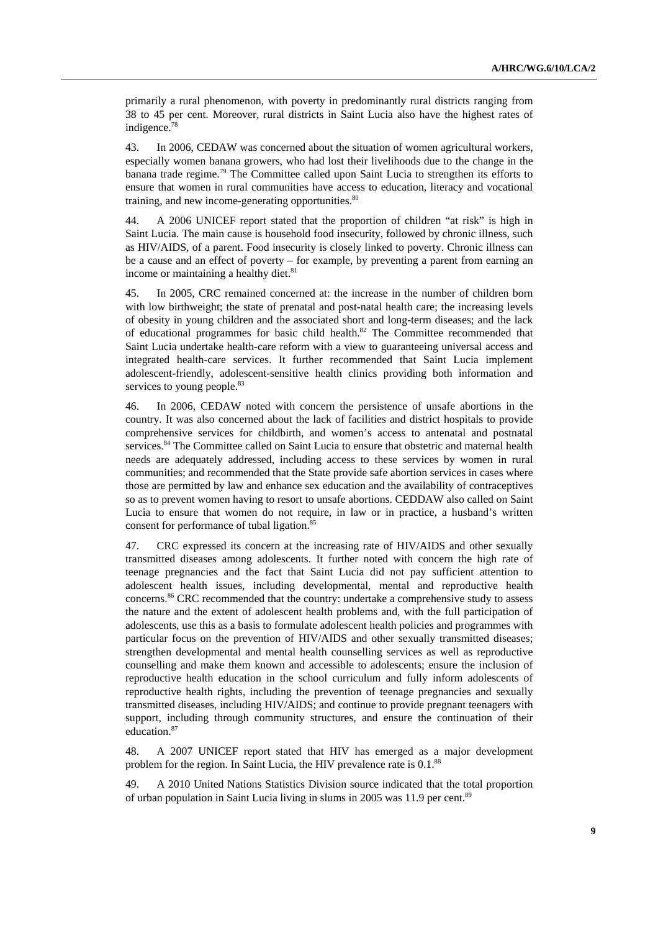primarily a rural phenomenon, with poverty in predominantly rural districts ranging from 38 to 45 per cent. Moreover, rural districts in Saint Lucia also have the highest rates of indigence.<sup>78</sup>

43. In 2006, CEDAW was concerned about the situation of women agricultural workers, especially women banana growers, who had lost their livelihoods due to the change in the banana trade regime.<sup>79</sup> The Committee called upon Saint Lucia to strengthen its efforts to ensure that women in rural communities have access to education, literacy and vocational training, and new income-generating opportunities.<sup>80</sup>

44. A 2006 UNICEF report stated that the proportion of children "at risk" is high in Saint Lucia. The main cause is household food insecurity, followed by chronic illness, such as HIV/AIDS, of a parent. Food insecurity is closely linked to poverty. Chronic illness can be a cause and an effect of poverty – for example, by preventing a parent from earning an income or maintaining a healthy diet.<sup>81</sup>

45. In 2005, CRC remained concerned at: the increase in the number of children born with low birthweight; the state of prenatal and post-natal health care; the increasing levels of obesity in young children and the associated short and long-term diseases; and the lack of educational programmes for basic child health.<sup>82</sup> The Committee recommended that Saint Lucia undertake health-care reform with a view to guaranteeing universal access and integrated health-care services. It further recommended that Saint Lucia implement adolescent-friendly, adolescent-sensitive health clinics providing both information and services to young people.<sup>83</sup>

46. In 2006, CEDAW noted with concern the persistence of unsafe abortions in the country. It was also concerned about the lack of facilities and district hospitals to provide comprehensive services for childbirth, and women's access to antenatal and postnatal services.<sup>84</sup> The Committee called on Saint Lucia to ensure that obstetric and maternal health needs are adequately addressed, including access to these services by women in rural communities; and recommended that the State provide safe abortion services in cases where those are permitted by law and enhance sex education and the availability of contraceptives so as to prevent women having to resort to unsafe abortions. CEDDAW also called on Saint Lucia to ensure that women do not require, in law or in practice, a husband's written consent for performance of tubal ligation.<sup>85</sup>

47. CRC expressed its concern at the increasing rate of HIV/AIDS and other sexually transmitted diseases among adolescents. It further noted with concern the high rate of teenage pregnancies and the fact that Saint Lucia did not pay sufficient attention to adolescent health issues, including developmental, mental and reproductive health concerns.86 CRC recommended that the country: undertake a comprehensive study to assess the nature and the extent of adolescent health problems and, with the full participation of adolescents, use this as a basis to formulate adolescent health policies and programmes with particular focus on the prevention of HIV/AIDS and other sexually transmitted diseases; strengthen developmental and mental health counselling services as well as reproductive counselling and make them known and accessible to adolescents; ensure the inclusion of reproductive health education in the school curriculum and fully inform adolescents of reproductive health rights, including the prevention of teenage pregnancies and sexually transmitted diseases, including HIV/AIDS; and continue to provide pregnant teenagers with support, including through community structures, and ensure the continuation of their education.<sup>87</sup>

48. A 2007 UNICEF report stated that HIV has emerged as a major development problem for the region. In Saint Lucia, the HIV prevalence rate is 0.1.<sup>88</sup>

49. A 2010 United Nations Statistics Division source indicated that the total proportion of urban population in Saint Lucia living in slums in 2005 was 11.9 per cent.<sup>89</sup>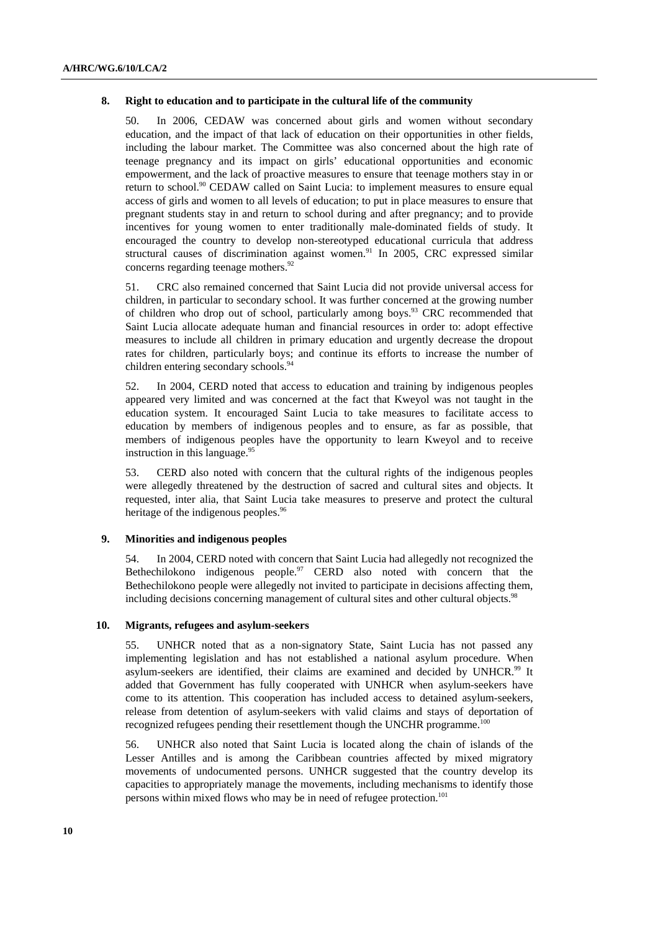#### **8. Right to education and to participate in the cultural life of the community**

50. In 2006, CEDAW was concerned about girls and women without secondary education, and the impact of that lack of education on their opportunities in other fields, including the labour market. The Committee was also concerned about the high rate of teenage pregnancy and its impact on girls' educational opportunities and economic empowerment, and the lack of proactive measures to ensure that teenage mothers stay in or return to school.<sup>90</sup> CEDAW called on Saint Lucia: to implement measures to ensure equal access of girls and women to all levels of education; to put in place measures to ensure that pregnant students stay in and return to school during and after pregnancy; and to provide incentives for young women to enter traditionally male-dominated fields of study. It encouraged the country to develop non-stereotyped educational curricula that address structural causes of discrimination against women.<sup>91</sup> In 2005, CRC expressed similar concerns regarding teenage mothers.<sup>92</sup>

51. CRC also remained concerned that Saint Lucia did not provide universal access for children, in particular to secondary school. It was further concerned at the growing number of children who drop out of school, particularly among boys.93 CRC recommended that Saint Lucia allocate adequate human and financial resources in order to: adopt effective measures to include all children in primary education and urgently decrease the dropout rates for children, particularly boys; and continue its efforts to increase the number of children entering secondary schools.<sup>9</sup>

52. In 2004, CERD noted that access to education and training by indigenous peoples appeared very limited and was concerned at the fact that Kweyol was not taught in the education system. It encouraged Saint Lucia to take measures to facilitate access to education by members of indigenous peoples and to ensure, as far as possible, that members of indigenous peoples have the opportunity to learn Kweyol and to receive instruction in this language. $95$ 

53. CERD also noted with concern that the cultural rights of the indigenous peoples were allegedly threatened by the destruction of sacred and cultural sites and objects. It requested, inter alia, that Saint Lucia take measures to preserve and protect the cultural heritage of the indigenous peoples.<sup>96</sup>

### **9. Minorities and indigenous peoples**

54. In 2004, CERD noted with concern that Saint Lucia had allegedly not recognized the Bethechilokono indigenous people.<sup>97</sup> CERD also noted with concern that the Bethechilokono people were allegedly not invited to participate in decisions affecting them, including decisions concerning management of cultural sites and other cultural objects.<sup>98</sup>

### **10. Migrants, refugees and asylum-seekers**

55. UNHCR noted that as a non-signatory State, Saint Lucia has not passed any implementing legislation and has not established a national asylum procedure. When asylum-seekers are identified, their claims are examined and decided by UNHCR.99 It added that Government has fully cooperated with UNHCR when asylum-seekers have come to its attention. This cooperation has included access to detained asylum-seekers, release from detention of asylum-seekers with valid claims and stays of deportation of recognized refugees pending their resettlement though the UNCHR programme.<sup>100</sup>

56. UNHCR also noted that Saint Lucia is located along the chain of islands of the Lesser Antilles and is among the Caribbean countries affected by mixed migratory movements of undocumented persons. UNHCR suggested that the country develop its capacities to appropriately manage the movements, including mechanisms to identify those persons within mixed flows who may be in need of refugee protection.101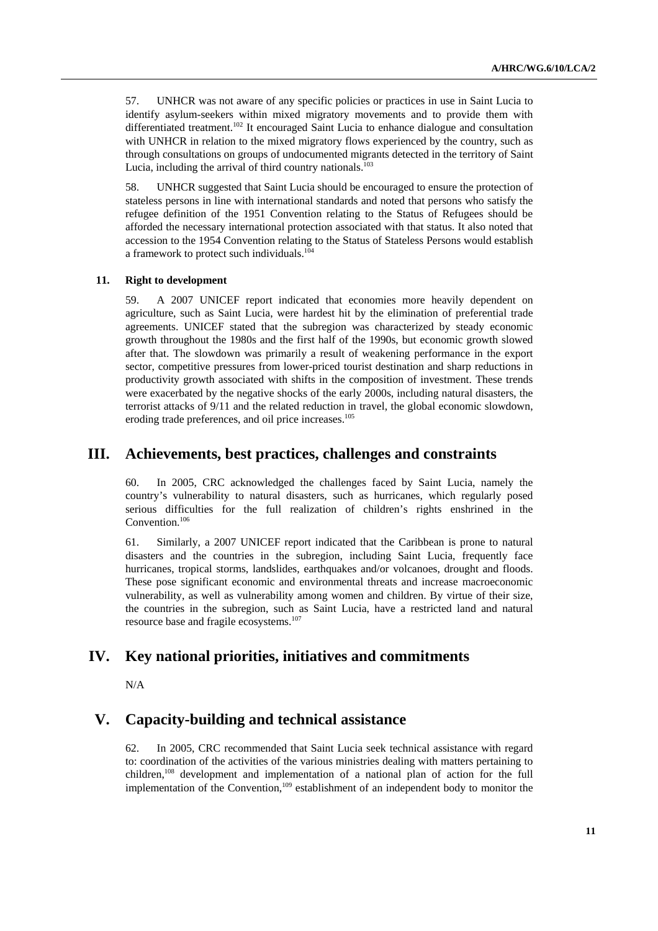57. UNHCR was not aware of any specific policies or practices in use in Saint Lucia to identify asylum-seekers within mixed migratory movements and to provide them with differentiated treatment.<sup>102</sup> It encouraged Saint Lucia to enhance dialogue and consultation with UNHCR in relation to the mixed migratory flows experienced by the country, such as through consultations on groups of undocumented migrants detected in the territory of Saint Lucia, including the arrival of third country nationals. $103$ 

58. UNHCR suggested that Saint Lucia should be encouraged to ensure the protection of stateless persons in line with international standards and noted that persons who satisfy the refugee definition of the 1951 Convention relating to the Status of Refugees should be afforded the necessary international protection associated with that status. It also noted that accession to the 1954 Convention relating to the Status of Stateless Persons would establish a framework to protect such individuals.<sup>104</sup>

#### **11. Right to development**

59. A 2007 UNICEF report indicated that economies more heavily dependent on agriculture, such as Saint Lucia, were hardest hit by the elimination of preferential trade agreements. UNICEF stated that the subregion was characterized by steady economic growth throughout the 1980s and the first half of the 1990s, but economic growth slowed after that. The slowdown was primarily a result of weakening performance in the export sector, competitive pressures from lower-priced tourist destination and sharp reductions in productivity growth associated with shifts in the composition of investment. These trends were exacerbated by the negative shocks of the early 2000s, including natural disasters, the terrorist attacks of 9/11 and the related reduction in travel, the global economic slowdown, eroding trade preferences, and oil price increases.<sup>105</sup>

## **III. Achievements, best practices, challenges and constraints**

60. In 2005, CRC acknowledged the challenges faced by Saint Lucia, namely the country's vulnerability to natural disasters, such as hurricanes, which regularly posed serious difficulties for the full realization of children's rights enshrined in the Convention.<sup>106</sup>

61. Similarly, a 2007 UNICEF report indicated that the Caribbean is prone to natural disasters and the countries in the subregion, including Saint Lucia, frequently face hurricanes, tropical storms, landslides, earthquakes and/or volcanoes, drought and floods. These pose significant economic and environmental threats and increase macroeconomic vulnerability, as well as vulnerability among women and children. By virtue of their size, the countries in the subregion, such as Saint Lucia, have a restricted land and natural resource base and fragile ecosystems.107

# **IV. Key national priorities, initiatives and commitments**

N/A

# **V. Capacity-building and technical assistance**

62. In 2005, CRC recommended that Saint Lucia seek technical assistance with regard to: coordination of the activities of the various ministries dealing with matters pertaining to children,108 development and implementation of a national plan of action for the full implementation of the Convention,<sup>109</sup> establishment of an independent body to monitor the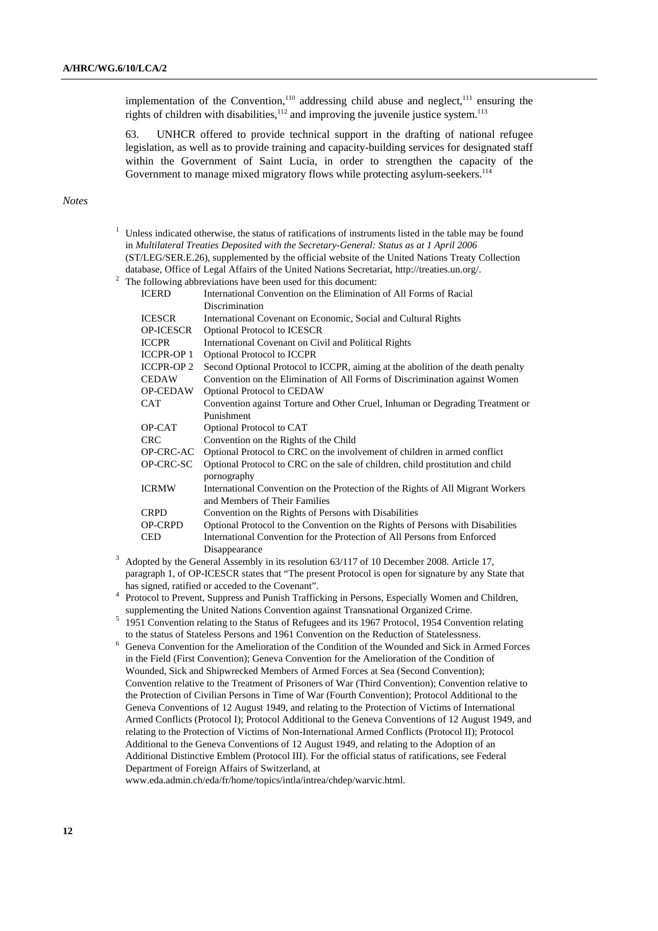implementation of the Convention,<sup>110</sup> addressing child abuse and neglect, $111$  ensuring the rights of children with disabilities,  $112$  and improving the juvenile justice system.<sup>113</sup>

63. UNHCR offered to provide technical support in the drafting of national refugee legislation, as well as to provide training and capacity-building services for designated staff within the Government of Saint Lucia, in order to strengthen the capacity of the Government to manage mixed migratory flows while protecting asylum-seekers.<sup>114</sup>

#### *Notes*

| Unless indicated otherwise, the status of ratifications of instruments listed in the table may be found |                                                                                               |  |  |
|---------------------------------------------------------------------------------------------------------|-----------------------------------------------------------------------------------------------|--|--|
|                                                                                                         | in Multilateral Treaties Deposited with the Secretary-General: Status as at 1 April 2006      |  |  |
| (ST/LEG/SER.E.26), supplemented by the official website of the United Nations Treaty Collection         |                                                                                               |  |  |
|                                                                                                         | database, Office of Legal Affairs of the United Nations Secretariat, http://treaties.un.org/. |  |  |
|                                                                                                         | The following abbreviations have been used for this document:                                 |  |  |
| <b>ICERD</b>                                                                                            | International Convention on the Elimination of All Forms of Racial                            |  |  |
|                                                                                                         | Discrimination                                                                                |  |  |
| <b>ICESCR</b>                                                                                           | International Covenant on Economic, Social and Cultural Rights                                |  |  |
| <b>OP-ICESCR</b>                                                                                        | Optional Protocol to ICESCR                                                                   |  |  |
| <b>ICCPR</b>                                                                                            | International Covenant on Civil and Political Rights                                          |  |  |
| <b>ICCPR-OP 1</b>                                                                                       | Optional Protocol to ICCPR                                                                    |  |  |
| <b>ICCPR-OP 2</b>                                                                                       | Second Optional Protocol to ICCPR, aiming at the abolition of the death penalty               |  |  |
| <b>CEDAW</b>                                                                                            | Convention on the Elimination of All Forms of Discrimination against Women                    |  |  |
| OP-CEDAW                                                                                                | Optional Protocol to CEDAW                                                                    |  |  |
| <b>CAT</b>                                                                                              | Convention against Torture and Other Cruel, Inhuman or Degrading Treatment or                 |  |  |
|                                                                                                         | Punishment                                                                                    |  |  |
| OP-CAT                                                                                                  | Optional Protocol to CAT                                                                      |  |  |
| <b>CRC</b>                                                                                              | Convention on the Rights of the Child                                                         |  |  |
| OP-CRC-AC                                                                                               | Optional Protocol to CRC on the involvement of children in armed conflict                     |  |  |
| OP-CRC-SC                                                                                               | Optional Protocol to CRC on the sale of children, child prostitution and child                |  |  |
|                                                                                                         | pornography                                                                                   |  |  |
| <b>ICRMW</b>                                                                                            | International Convention on the Protection of the Rights of All Migrant Workers               |  |  |
|                                                                                                         | and Members of Their Families                                                                 |  |  |
| <b>CRPD</b>                                                                                             | Convention on the Rights of Persons with Disabilities                                         |  |  |
| <b>OP-CRPD</b>                                                                                          | Optional Protocol to the Convention on the Rights of Persons with Disabilities                |  |  |
| <b>CED</b>                                                                                              | International Convention for the Protection of All Persons from Enforced                      |  |  |
|                                                                                                         | Disappearance                                                                                 |  |  |
| Adopted by the General Assembly in its resolution 63/117 of 10 December 2008. Article 17,               |                                                                                               |  |  |

paragraph 1, of OP-ICESCR states that "The present Protocol is open for signature by any State that has signed, ratified or acceded to the Covenant".

<sup>4</sup> Protocol to Prevent, Suppress and Punish Trafficking in Persons, Especially Women and Children, supplementing the United Nations Convention against Transnational Organized Crime.

- <sup>5</sup> 1951 Convention relating to the Status of Refugees and its 1967 Protocol, 1954 Convention relating to the status of Stateless Persons and 1961 Convention on the Reduction of Statelessness.
- $6$  Geneva Convention for the Amelioration of the Condition of the Wounded and Sick in Armed Forces in the Field (First Convention); Geneva Convention for the Amelioration of the Condition of Wounded, Sick and Shipwrecked Members of Armed Forces at Sea (Second Convention); Convention relative to the Treatment of Prisoners of War (Third Convention); Convention relative to the Protection of Civilian Persons in Time of War (Fourth Convention); Protocol Additional to the Geneva Conventions of 12 August 1949, and relating to the Protection of Victims of International Armed Conflicts (Protocol I); Protocol Additional to the Geneva Conventions of 12 August 1949, and relating to the Protection of Victims of Non-International Armed Conflicts (Protocol II); Protocol Additional to the Geneva Conventions of 12 August 1949, and relating to the Adoption of an Additional Distinctive Emblem (Protocol III). For the official status of ratifications, see Federal Department of Foreign Affairs of Switzerland, at

www.eda.admin.ch/eda/fr/home/topics/intla/intrea/chdep/warvic.html.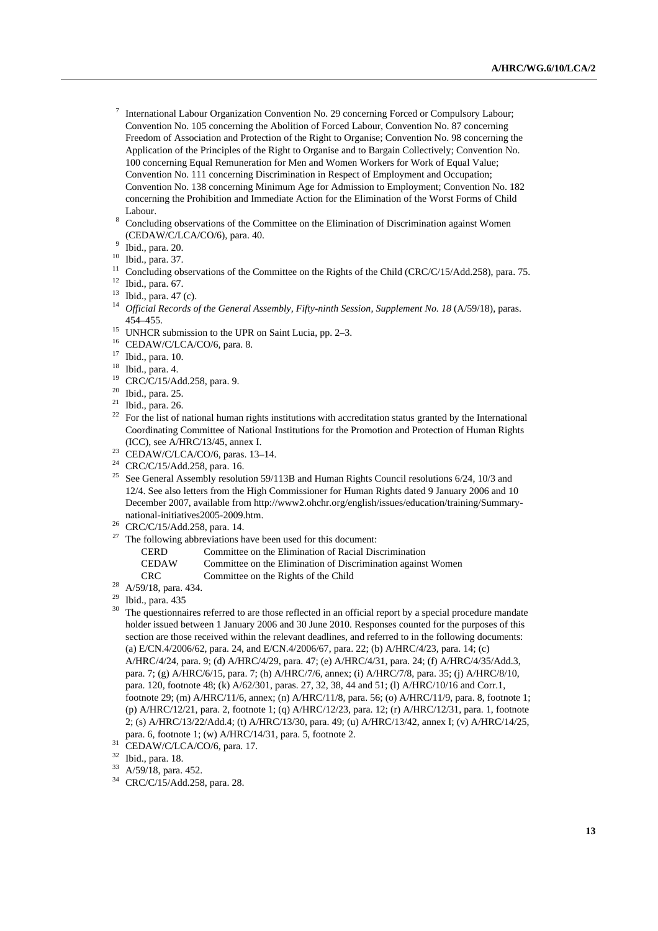- <sup>7</sup> International Labour Organization Convention No. 29 concerning Forced or Compulsory Labour; Convention No. 105 concerning the Abolition of Forced Labour, Convention No. 87 concerning Freedom of Association and Protection of the Right to Organise; Convention No. 98 concerning the Application of the Principles of the Right to Organise and to Bargain Collectively; Convention No. 100 concerning Equal Remuneration for Men and Women Workers for Work of Equal Value; Convention No. 111 concerning Discrimination in Respect of Employment and Occupation; Convention No. 138 concerning Minimum Age for Admission to Employment; Convention No. 182 concerning the Prohibition and Immediate Action for the Elimination of the Worst Forms of Child Labour.
- Concluding observations of the Committee on the Elimination of Discrimination against Women (CEDAW/C/LCA/CO/6), para. 40.
- Ibid., para. 20.
- 10 Ibid., para. 37.
- <sup>11</sup> Concluding observations of the Committee on the Rights of the Child (CRC/C/15/Add.258), para. 75.<br><sup>12</sup> Ibid., para. 67.
- 
- $13$  Ibid., para. 47 (c).
- <sup>14</sup> Official Records of the General Assembly, Fifty-ninth Session, Supplement No. 18 (A/59/18), paras. 454–455.<br><sup>15</sup> UNHCR submission to the UPR on Saint Lucia, pp. 2–3.<br><sup>16</sup> CEDAW/C/LCA/CO/6, para. 8.
- 
- 
- 17 Ibid., para. 10.
- <sup>18</sup> Ibid., para. 4.
- $^{19}$  CRC/C/15/Add.258, para. 9.<br> $^{20}$  Ibid. para. 25
- Ibid., para. 25.
- $21$  Ibid., para. 26.
- <sup>22</sup> For the list of national human rights institutions with accreditation status granted by the International Coordinating Committee of National Institutions for the Promotion and Protection of Human Rights (ICC), see A/HRC/13/45, annex I.<br>
<sup>23</sup> CEDAW/C/LCA/CO/6, paras. 13–14.
- 
- 24 CRC/C/15/Add.258, para. 16.
- <sup>25</sup> See General Assembly resolution 59/113B and Human Rights Council resolutions 6/24, 10/3 and 12/4. See also letters from the High Commissioner for Human Rights dated 9 January 2006 and 10 December 2007, available from http://www2.ohchr.org/english/issues/education/training/Summary-
- national-initiatives2005-2009.htm.<br><sup>26</sup> CRC/C/15/Add.258, para. 14.<br><sup>27</sup> The following abbrayiations have
- The following abbreviations have been used for this document: CERD Committee on the Elimination of Racial Discrimination
	- CEDAW Committee on the Elimination of Discrimination against Women
- CRC Committee on the Rights of the Child 28 A/59/18, para. 434.
- 
- 29 Ibid., para. 435
- The questionnaires referred to are those reflected in an official report by a special procedure mandate holder issued between 1 January 2006 and 30 June 2010. Responses counted for the purposes of this section are those received within the relevant deadlines, and referred to in the following documents: (a) E/CN.4/2006/62, para. 24, and E/CN.4/2006/67, para. 22; (b) A/HRC/4/23, para. 14; (c) A/HRC/4/24, para. 9; (d) A/HRC/4/29, para. 47; (e) A/HRC/4/31, para. 24; (f) A/HRC/4/35/Add.3, para. 7; (g) A/HRC/6/15, para. 7; (h) A/HRC/7/6, annex; (i) A/HRC/7/8, para. 35; (j) A/HRC/8/10, para. 120, footnote 48; (k) A/62/301, paras. 27, 32, 38, 44 and 51; (l) A/HRC/10/16 and Corr.1, footnote 29; (m) A/HRC/11/6, annex; (n) A/HRC/11/8, para. 56; (o) A/HRC/11/9, para. 8, footnote 1; (p) A/HRC/12/21, para. 2, footnote 1; (q) A/HRC/12/23, para. 12; (r) A/HRC/12/31, para. 1, footnote 2; (s) A/HRC/13/22/Add.4; (t) A/HRC/13/30, para. 49; (u) A/HRC/13/42, annex I; (v) A/HRC/14/25, para. 6, footnote 1; (w) A/HRC/14/31, para. 5, footnote 2.<br><sup>31</sup> CEDAW/C/LCA/CO/6, para. 17.
- 
- $\frac{32}{33}$  Ibid., para. 18.
- $A/59/18$ , para. 452.
- 34 CRC/C/15/Add.258, para. 28.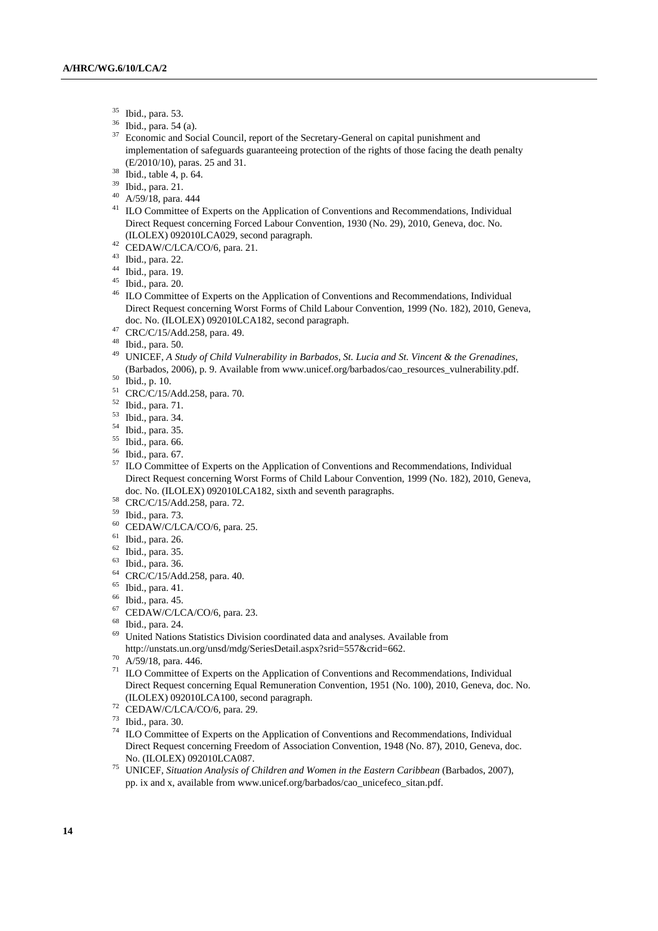- 35 Ibid., para. 53.
- $\frac{36}{37}$  Ibid., para. 54 (a).
- Economic and Social Council, report of the Secretary-General on capital punishment and implementation of safeguards guaranteeing protection of the rights of those facing the death penalty (E/2010/10), paras. 25 and 31. 38 Ibid., table 4, p. 64.
- 
- 39 Ibid., para. 21.
- 40 A/59/18, para. 444
- <sup>41</sup> ILO Committee of Experts on the Application of Conventions and Recommendations, Individual Direct Request concerning Forced Labour Convention, 1930 (No. 29), 2010, Geneva, doc. No. %) (ILOLEX) 092010LCA029, second paragraph. 42 CEDAW/C/LCA/CO/6, para. 21.
- 
- 43 Ibid., para. 22.
- 44 Ibid., para. 19.
- 45 Ibid., para. 20.
- <sup>46</sup> ILO Committee of Experts on the Application of Conventions and Recommendations, Individual Direct Request concerning Worst Forms of Child Labour Convention, 1999 (No. 182), 2010, Geneva, doc. No. (ILOLEX) 092010LCA182, second paragraph. 47 CRC/C/15/Add.258, para. 49.
- 
- 48 Ibid., para. 50.
- 49 UNICEF, *A Study of Child Vulnerability in Barbados, St. Lucia and St. Vincent & the Grenadines*, (Barbados, 2006), p. 9. Available from www.unicef.org/barbados/cao\_resources\_vulnerability.pdf.<br>
<sup>50</sup> Ibid., p. 10.<br>
<sup>51</sup> CBC/C/15/Add 258, pare, 70.
- 
- CRC/C/15/Add.258, para. 70.
- 52 Ibid., para. 71.
- $\frac{53}{54}$  Ibid., para. 34.
- Ibid., para. 35.
- 55 Ibid., para. 66.
- $^{56}$  Ibid., para. 67.
- ILO Committee of Experts on the Application of Conventions and Recommendations, Individual Direct Request concerning Worst Forms of Child Labour Convention, 1999 (No. 182), 2010, Geneva, doc. No. (ILOLEX) 092010LCA182, sixth and seventh paragraphs.<br>
<sup>58</sup> CRC/C/15/Add.258, para. 72.
- 
- 59 Ibid., para. 73.
- 60 CEDAW/C/LCA/CO/6, para. 25.
- 61 Ibid., para. 26.
- 62 Ibid., para. 35.
- 63 Ibid., para. 36.
- 64 CRC/C/15/Add.258, para. 40.
- $<sup>65</sup>$  Ibid., para. 41.</sup>
- 66 Ibid., para. 45.
- 67 CEDAW/C/LCA/CO/6, para. 23.
- 68 Ibid., para. 24.
- 69 United Nations Statistics Division coordinated data and analyses. Available from http://unstats.un.org/unsd/mdg/SeriesDetail.aspx?srid=557&crid=662. 70 A/59/18, para. 446.
- 
- $71$  ILO Committee of Experts on the Application of Conventions and Recommendations, Individual Direct Request concerning Equal Remuneration Convention, 1951 (No. 100), 2010, Geneva, doc. No. (ILOLEX) 092010LCA100, second paragraph. 72 CEDAW/C/LCA/CO/6, para. 29.
- 
- 73 Ibid., para. 30.
- <sup>74</sup> ILO Committee of Experts on the Application of Conventions and Recommendations, Individual Direct Request concerning Freedom of Association Convention, 1948 (No. 87), 2010, Geneva, doc. No. (ILOLEX) 092010LCA087. 75 UNICEF, *Situation Analysis of Children and Women in the Eastern Caribbean* (Barbados, 2007),
- pp. ix and x, available from www.unicef.org/barbados/cao\_unicefeco\_sitan.pdf.